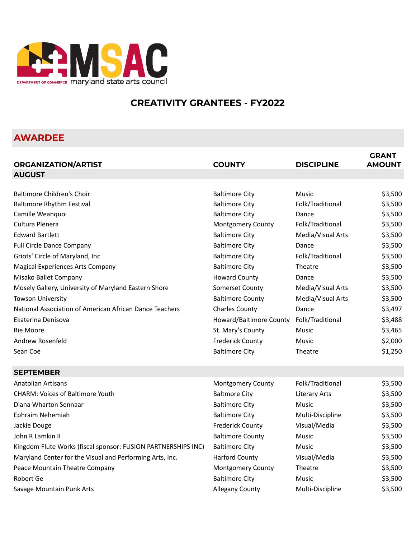

# **CREATIVITY GRANTEES - FY2022**

# **AWARDEE**

| <b>ORGANIZATION/ARTIST</b>                                    | <b>COUNTY</b>           | <b>DISCIPLINE</b>    | <b>GRANT</b><br><b>AMOUNT</b> |
|---------------------------------------------------------------|-------------------------|----------------------|-------------------------------|
| <b>AUGUST</b>                                                 |                         |                      |                               |
|                                                               |                         |                      |                               |
| Baltimore Children's Choir                                    | <b>Baltimore City</b>   | Music                | \$3,500                       |
| <b>Baltimore Rhythm Festival</b>                              | <b>Baltimore City</b>   | Folk/Traditional     | \$3,500                       |
| Camille Weanquoi                                              | <b>Baltimore City</b>   | Dance                | \$3,500                       |
| Cultura Plenera                                               | Montgomery County       | Folk/Traditional     | \$3,500                       |
| <b>Edward Bartlett</b>                                        | <b>Baltimore City</b>   | Media/Visual Arts    | \$3,500                       |
| <b>Full Circle Dance Company</b>                              | <b>Baltimore City</b>   | Dance                | \$3,500                       |
| Griots' Circle of Maryland, Inc                               | <b>Baltimore City</b>   | Folk/Traditional     | \$3,500                       |
| <b>Magical Experiences Arts Company</b>                       | <b>Baltimore City</b>   | Theatre              | \$3,500                       |
| Misako Ballet Company                                         | <b>Howard County</b>    | Dance                | \$3,500                       |
| Mosely Gallery, University of Maryland Eastern Shore          | Somerset County         | Media/Visual Arts    | \$3,500                       |
| <b>Towson University</b>                                      | <b>Baltimore County</b> | Media/Visual Arts    | \$3,500                       |
| National Association of American African Dance Teachers       | <b>Charles County</b>   | Dance                | \$3,497                       |
| Ekaterina Denisova                                            | Howard/Baltimore County | Folk/Traditional     | \$3,488                       |
| Rie Moore                                                     | St. Mary's County       | Music                | \$3,465                       |
| Andrew Rosenfeld                                              | <b>Frederick County</b> | Music                | \$2,000                       |
| Sean Coe                                                      | <b>Baltimore City</b>   | Theatre              | \$1,250                       |
| <b>SEPTEMBER</b>                                              |                         |                      |                               |
| <b>Anatolian Artisans</b>                                     | Montgomery County       | Folk/Traditional     | \$3,500                       |
| <b>CHARM: Voices of Baltimore Youth</b>                       | <b>Baltmore City</b>    | <b>Literary Arts</b> | \$3,500                       |
| Diana Wharton Sennaar                                         | <b>Baltimore City</b>   | Music                | \$3,500                       |
| Ephraim Nehemiah                                              | <b>Baltimore City</b>   | Multi-Discipline     | \$3,500                       |
| Jackie Douge                                                  | <b>Frederick County</b> | Visual/Media         | \$3,500                       |
| John R Lamkin II                                              | <b>Baltimore County</b> | Music                | \$3,500                       |
| Kingdom Flute Works (fiscal sponsor: FUSION PARTNERSHIPS INC) | <b>Baltimore City</b>   | <b>Music</b>         | \$3,500                       |
| Maryland Center for the Visual and Performing Arts, Inc.      | <b>Harford County</b>   | Visual/Media         | \$3,500                       |
| Peace Mountain Theatre Company                                | Montgomery County       | Theatre              | \$3,500                       |
| Robert Ge                                                     | <b>Baltimore City</b>   | Music                | \$3,500                       |
| Savage Mountain Punk Arts                                     | <b>Allegany County</b>  | Multi-Discipline     | \$3,500                       |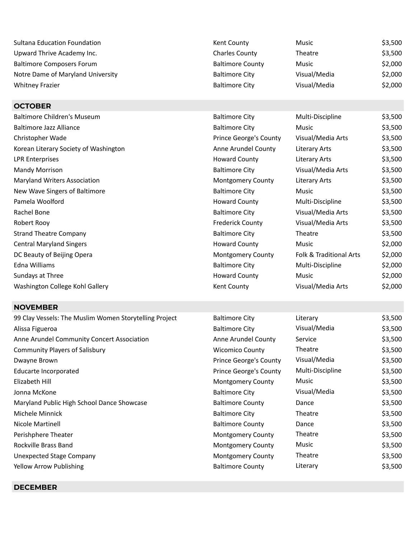| <b>Sultana Education Foundation</b>                    | Kent County              | Music                   | \$3,500 |
|--------------------------------------------------------|--------------------------|-------------------------|---------|
| Upward Thrive Academy Inc.                             | <b>Charles County</b>    | Theatre                 | \$3,500 |
| <b>Baltimore Composers Forum</b>                       | <b>Baltimore County</b>  | Music                   | \$2,000 |
| Notre Dame of Maryland University                      | <b>Baltimore City</b>    | Visual/Media            | \$2,000 |
| <b>Whitney Frazier</b>                                 | <b>Baltimore City</b>    | Visual/Media            | \$2,000 |
|                                                        |                          |                         |         |
| <b>OCTOBER</b>                                         |                          |                         |         |
| <b>Baltimore Children's Museum</b>                     | <b>Baltimore City</b>    | Multi-Discipline        | \$3,500 |
| <b>Baltimore Jazz Alliance</b>                         | <b>Baltimore City</b>    | <b>Music</b>            | \$3,500 |
| Christopher Wade                                       | Prince George's County   | Visual/Media Arts       | \$3,500 |
| Korean Literary Society of Washington                  | Anne Arundel County      | <b>Literary Arts</b>    | \$3,500 |
| <b>LPR Enterprises</b>                                 | <b>Howard County</b>     | <b>Literary Arts</b>    | \$3,500 |
| Mandy Morrison                                         | <b>Baltimore City</b>    | Visual/Media Arts       | \$3,500 |
| Maryland Writers Association                           | Montgomery County        | <b>Literary Arts</b>    | \$3,500 |
| New Wave Singers of Baltimore                          | <b>Baltimore City</b>    | Music                   | \$3,500 |
| Pamela Woolford                                        | <b>Howard County</b>     | Multi-Discipline        | \$3,500 |
| Rachel Bone                                            | <b>Baltimore City</b>    | Visual/Media Arts       | \$3,500 |
| Robert Rooy                                            | <b>Frederick County</b>  | Visual/Media Arts       | \$3,500 |
| <b>Strand Theatre Company</b>                          | <b>Baltimore City</b>    | Theatre                 | \$3,500 |
| <b>Central Maryland Singers</b>                        | <b>Howard County</b>     | Music                   | \$2,000 |
| DC Beauty of Beijing Opera                             | Montgomery County        | Folk & Traditional Arts | \$2,000 |
| Edna Williams                                          | <b>Baltimore City</b>    | Multi-Discipline        | \$2,000 |
| Sundays at Three                                       | <b>Howard County</b>     | <b>Music</b>            | \$2,000 |
| Washington College Kohl Gallery                        | Kent County              | Visual/Media Arts       | \$2,000 |
|                                                        |                          |                         |         |
| <b>NOVEMBER</b>                                        |                          |                         |         |
| 99 Clay Vessels: The Muslim Women Storytelling Project | <b>Baltimore City</b>    | Literary                | \$3,500 |
| Alissa Figueroa                                        | <b>Baltimore City</b>    | Visual/Media            | \$3,500 |
| Anne Arundel Community Concert Association             | Anne Arundel County      | Service                 | \$3,500 |
| <b>Community Players of Salisbury</b>                  | <b>Wicomico County</b>   | Theatre                 | \$3,500 |
| Dwayne Brown                                           | Prince George's County   | Visual/Media            | \$3,500 |
| <b>Educarte Incorporated</b>                           | Prince George's County   | Multi-Discipline        | \$3,500 |
| Elizabeth Hill                                         | <b>Montgomery County</b> | Music                   | \$3,500 |
| Jonna McKone                                           | <b>Baltimore City</b>    | Visual/Media            | \$3,500 |
| Maryland Public High School Dance Showcase             | <b>Baltimore County</b>  | Dance                   | \$3,500 |
| Michele Minnick                                        | <b>Baltimore City</b>    | Theatre                 | \$3,500 |
| Nicole Martinell                                       | <b>Baltimore County</b>  | Dance                   | \$3,500 |
| Perishphere Theater                                    | Montgomery County        | Theatre                 | \$3,500 |
| Rockville Brass Band                                   | Montgomery County        | Music                   | \$3,500 |
| <b>Unexpected Stage Company</b>                        | Montgomery County        | Theatre                 | \$3,500 |
| Yellow Arrow Publishing                                | <b>Baltimore County</b>  | Literary                | \$3,500 |

## **DECEMBER**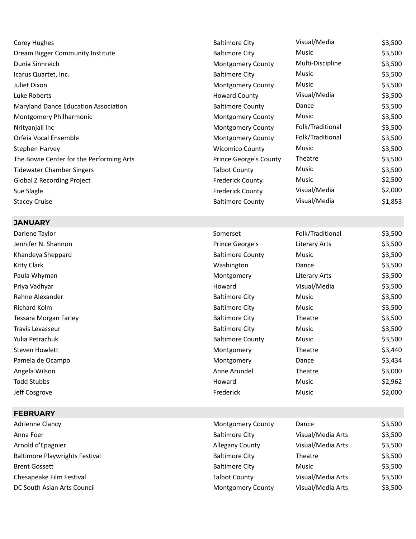| Corey Hughes                                | <b>Baltimore City</b>    | Visual/Media     | \$3,500 |
|---------------------------------------------|--------------------------|------------------|---------|
| Dream Bigger Community Institute            | <b>Baltimore City</b>    | Music            | \$3,500 |
| Dunia Sinnreich                             | Montgomery County        | Multi-Discipline | \$3,500 |
| Icarus Quartet, Inc.                        | <b>Baltimore City</b>    | Music            | \$3,500 |
| Juliet Dixon                                | Montgomery County        | Music            | \$3,500 |
| Luke Roberts                                | <b>Howard County</b>     | Visual/Media     | \$3,500 |
| <b>Maryland Dance Education Association</b> | <b>Baltimore County</b>  | Dance            | \$3,500 |
| Montgomery Philharmonic                     | <b>Montgomery County</b> | Music            | \$3,500 |
| Nrityanjali Inc                             | <b>Montgomery County</b> | Folk/Traditional | \$3,500 |
| Orfeia Vocal Ensemble                       | <b>Montgomery County</b> | Folk/Traditional | \$3,500 |
| Stephen Harvey                              | <b>Wicomico County</b>   | Music            | \$3,500 |
| The Bowie Center for the Performing Arts    | Prince George's County   | Theatre          | \$3,500 |
| Tidewater Chamber Singers                   | <b>Talbot County</b>     | Music            | \$3,500 |
| Global Z Recording Project                  | <b>Frederick County</b>  | Music            | \$2,500 |
| Sue Slagle                                  | <b>Frederick County</b>  | Visual/Media     | \$2,000 |
| <b>Stacey Cruise</b>                        | <b>Baltimore County</b>  | Visual/Media     | \$1,853 |
|                                             |                          |                  |         |

Somerset Folk/Traditional \$3,500 Prince George's Literary Arts \$3,500 Baltimore County Music \$3,500

#### **JANUARY**

| Darlene Taylor        | Somerset                | Folk/Traditional | \$3,500 |
|-----------------------|-------------------------|------------------|---------|
| Jennifer N. Shannon   | Prince George's         | Literary Arts    | \$3,500 |
| Khandeya Sheppard     | <b>Baltimore County</b> | Music            | \$3,500 |
| Kitty Clark           | Washington              | Dance            | \$3,500 |
| Paula Whyman          | Montgomery              | Literary Arts    | \$3,500 |
| Priya Vadhyar         | Howard                  | Visual/Media     | \$3,500 |
| Rahne Alexander       | <b>Baltimore City</b>   | Music            | \$3,500 |
| Richard Kolm          | <b>Baltimore City</b>   | Music            | \$3,500 |
| Tessara Morgan Farley | <b>Baltimore City</b>   | Theatre          | \$3,500 |
| Travis Levasseur      | <b>Baltimore City</b>   | Music            | \$3,500 |
| Yulia Petrachuk       | <b>Baltimore County</b> | Music            | \$3,500 |
| Steven Howlett        | Montgomery              | Theatre          | \$3,440 |
| Pamela de Ocampo      | Montgomery              | Dance            | \$3,434 |
| Angela Wilson         | Anne Arundel            | Theatre          | \$3,000 |
| Todd Stubbs           | Howard                  | Music            | \$2,962 |
| Jeff Cosgrove         | Frederick               | Music            | \$2,000 |

## **FEBRUARY**

| Adrienne Clancy                       | <b>Montgomery County</b> | Dance             | \$3,500 |
|---------------------------------------|--------------------------|-------------------|---------|
| Anna Foer                             | <b>Baltimore City</b>    | Visual/Media Arts | \$3,500 |
| Arnold d'Epagnier                     | <b>Allegany County</b>   | Visual/Media Arts | \$3,500 |
| <b>Baltimore Playwrights Festival</b> | <b>Baltimore City</b>    | Theatre           | \$3,500 |
| <b>Brent Gossett</b>                  | <b>Baltimore City</b>    | Music             | \$3,500 |
| Chesapeake Film Festival              | <b>Talbot County</b>     | Visual/Media Arts | \$3,500 |
| DC South Asian Arts Council           | <b>Montgomery County</b> | Visual/Media Arts | \$3,500 |
|                                       |                          |                   |         |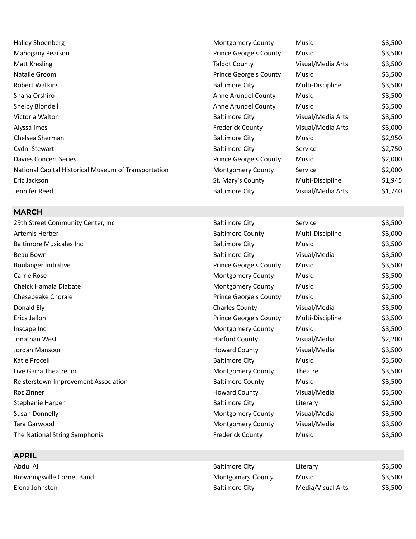| <b>Halley Shoenberg</b>                              | <b>Montgomery County</b>      | Music             | \$3,500 |
|------------------------------------------------------|-------------------------------|-------------------|---------|
| Mahogany Pearson                                     | <b>Prince George's County</b> | Music             | \$3,500 |
| Matt Kresling                                        | <b>Talbot County</b>          | Visual/Media Arts | \$3,500 |
| Natalie Groom                                        | <b>Prince George's County</b> | Music             | \$3,500 |
| <b>Robert Watkins</b>                                | <b>Baltimore City</b>         | Multi-Discipline  | \$3,500 |
| Shana Orshiro                                        | Anne Arundel County           | Music             | \$3,500 |
| Shelby Blondell                                      | Anne Arundel County           | Music             | \$3,500 |
| Victoria Walton                                      | <b>Baltimore City</b>         | Visual/Media Arts | \$3,500 |
| Alyssa Imes                                          | <b>Frederick County</b>       | Visual/Media Arts | \$3,000 |
| Chelsea Sherman                                      | <b>Baltimore City</b>         | Music             | \$2,950 |
| Cydni Stewart                                        | <b>Baltimore City</b>         | Service           | \$2,750 |
| <b>Davies Concert Series</b>                         | <b>Prince George's County</b> | Music             | \$2,000 |
| National Capital Historical Museum of Transportation | <b>Montgomery County</b>      | Service           | \$2,000 |
| Eric Jackson                                         | St. Mary's County             | Multi-Discipline  | \$1,945 |
| Jennifer Reed                                        | <b>Baltimore City</b>         | Visual/Media Arts | \$1,740 |

### **MARCH**

| 29th Street Community Center, Inc    | <b>Baltimore City</b>    | Service          | \$3,500 |
|--------------------------------------|--------------------------|------------------|---------|
| Artemis Herber                       | <b>Baltimore County</b>  | Multi-Discipline | \$3,000 |
| <b>Baltimore Musicales Inc</b>       | <b>Baltimore City</b>    | <b>Music</b>     | \$3,500 |
| Beau Bown                            | <b>Baltimore City</b>    | Visual/Media     | \$3,500 |
| <b>Boulanger Initiative</b>          | Prince George's County   | Music            | \$3,500 |
| Carrie Rose                          | Montgomery County        | Music            | \$3,500 |
| Cheick Hamala Diabate                | <b>Montgomery County</b> | Music            | \$3,500 |
| Chesapeake Chorale                   | Prince George's County   | Music            | \$2,500 |
| Donald Ely                           | <b>Charles County</b>    | Visual/Media     | \$3,500 |
| Erica Jalloh                         | Prince George's County   | Multi-Discipline | \$3,500 |
| Inscape Inc                          | Montgomery County        | Music            | \$3,500 |
| Jonathan West                        | <b>Harford County</b>    | Visual/Media     | \$2,200 |
| Jordan Mansour                       | <b>Howard County</b>     | Visual/Media     | \$3,500 |
| Katie Procell                        | <b>Baltimore City</b>    | Music            | \$3,500 |
| Live Garra Theatre Inc               | <b>Montgomery County</b> | Theatre          | \$3,500 |
| Reisterstown Improvement Association | <b>Baltimore County</b>  | Music            | \$3,500 |
| Roz Zinner                           | <b>Howard County</b>     | Visual/Media     | \$3,500 |
| Stephanie Harper                     | <b>Baltimore City</b>    | Literary         | \$2,500 |
| <b>Susan Donnelly</b>                | Montgomery County        | Visual/Media     | \$3,500 |
| Tara Garwood                         | <b>Montgomery County</b> | Visual/Media     | \$3,500 |
| The National String Symphonia        | <b>Frederick County</b>  | Music            | \$3,500 |

## **APRIL**

Abdul Ali **Abdul Ali** Baltimore City **Literary City** Literary 53,500 Browningsville Cornet Band **Montgomery County** Music **Music** \$3,500 Elena Johnston **Baltimore City Baltimore City Media/Visual Arts** \$3,500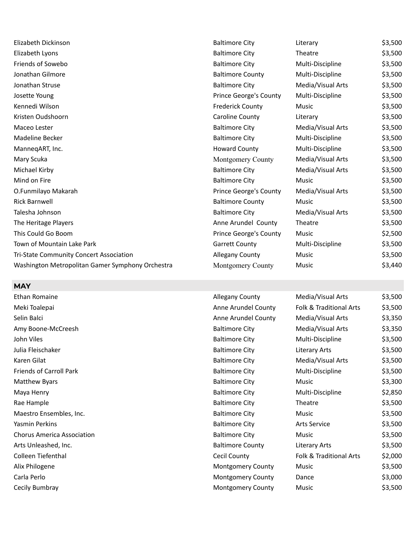| Elizabeth Dickinson                              | <b>Baltimore City</b>         | Literary          | \$3,500 |
|--------------------------------------------------|-------------------------------|-------------------|---------|
| Elizabeth Lyons                                  | <b>Baltimore City</b>         | Theatre           | \$3,500 |
| Friends of Sowebo                                | <b>Baltimore City</b>         | Multi-Discipline  | \$3,500 |
| Jonathan Gilmore                                 | <b>Baltimore County</b>       | Multi-Discipline  | \$3,500 |
| Jonathan Struse                                  | <b>Baltimore City</b>         | Media/Visual Arts | \$3,500 |
| Josette Young                                    | Prince George's County        | Multi-Discipline  | \$3,500 |
| Kennedi Wilson                                   | <b>Frederick County</b>       | Music             | \$3,500 |
| Kristen Oudshoorn                                | Caroline County               | Literary          | \$3,500 |
| Maceo Lester                                     | <b>Baltimore City</b>         | Media/Visual Arts | \$3,500 |
| Madeline Becker                                  | <b>Baltimore City</b>         | Multi-Discipline  | \$3,500 |
| ManneqART, Inc.                                  | <b>Howard County</b>          | Multi-Discipline  | \$3,500 |
| Mary Scuka                                       | Montgomery County             | Media/Visual Arts | \$3,500 |
| Michael Kirby                                    | <b>Baltimore City</b>         | Media/Visual Arts | \$3,500 |
| Mind on Fire                                     | <b>Baltimore City</b>         | <b>Music</b>      | \$3,500 |
| O.Funmilayo Makarah                              | Prince George's County        | Media/Visual Arts | \$3,500 |
| <b>Rick Barnwell</b>                             | <b>Baltimore County</b>       | Music             | \$3,500 |
| Talesha Johnson                                  | <b>Baltimore City</b>         | Media/Visual Arts | \$3,500 |
| The Heritage Players                             | Anne Arundel County           | Theatre           | \$3,500 |
| This Could Go Boom                               | <b>Prince George's County</b> | Music             | \$2,500 |
| Town of Mountain Lake Park                       | <b>Garrett County</b>         | Multi-Discipline  | \$3,500 |
| Tri-State Community Concert Association          | Allegany County               | Music             | \$3,500 |
| Washington Metropolitan Gamer Symphony Orchestra | <b>Montgomery County</b>      | Music             | \$3,440 |
|                                                  |                               |                   |         |

### **MAY**

Ethan Romaine **Allegany County** Allegany County Meki Toalepai **Anne Arundel County Folk Anne Arts Anne Arts Anne Arts Anne Arts & Traditional Arts \$3,500** Selin Balci Anne Arundel County Media Anne Arundel County Media Arts \$3,3500 Media: Arts \$3,3500 Media:  $\mathcal{A}$ Amy Boone-McCreesh Baltimore City Friends of Carroll Park Baltimore City Matthew Byars **Baltimore City Baltimore City** Maya Henry **Baltimore City** Multi-Discipline \$2,8500 Multi-Discipline \$2,850 Multi-Discipline \$2,850 Multi-Discipline \$2,850 Multi-Discipline \$2,850 Multi-Discipline \$2,850 Multi-Discipline \$2,850 Multi-Discipline \$2,850 M Rae Hample **Baltimore City** Theatre **Baltimore City** Theatre **Baltimore** City Maestro Ensembles, Inc. **Baltimore City Baltimore City** Chorus America Association and Baltimore City Arts Unleashed, Inc. **Baltimore County County** Baltimore County Colleen Tiefenthal **Collegen Tiefenthal** Cecil County Alix Philogene Montgomery County Carla Perlo **Carla Perlo Access 2000 Carla Perlo** Montgomery County Cecily Bumbray **Montgomery County** Music **Music** \$3,500

John Viles Baltimore City Multi-Discipline \$3,500 Julia Fleischaker Baltimore City Literary Arts \$3,500 Karen Gilat National Baltimore City Nedia/Visual Arts \$3,500 S3,500 Yasmin Perkins **Article 2018** Saltimore City **Arts Service Arts Service** \$3,500

| Media/Visual Arts                  | \$3,500 |
|------------------------------------|---------|
| Folk & Traditional Arts            | \$3,500 |
| Media/Visual Arts                  | \$3,350 |
| Media/Visual Arts                  | \$3,350 |
| Multi-Discipline                   | \$3,500 |
| <b>Literary Arts</b>               | \$3,500 |
| Media/Visual Arts                  | \$3,500 |
| Multi-Discipline                   | \$3,500 |
| Music                              | \$3,300 |
| Multi-Discipline                   | \$2,850 |
| Theatre                            | \$3,500 |
| Music                              | \$3,500 |
| Arts Service                       | \$3,500 |
| Music                              | \$3,500 |
| <b>Literary Arts</b>               | \$3,500 |
| <b>Folk &amp; Traditional Arts</b> | \$2,000 |
| Music                              | \$3,500 |
| Dance                              | \$3,000 |
|                                    |         |